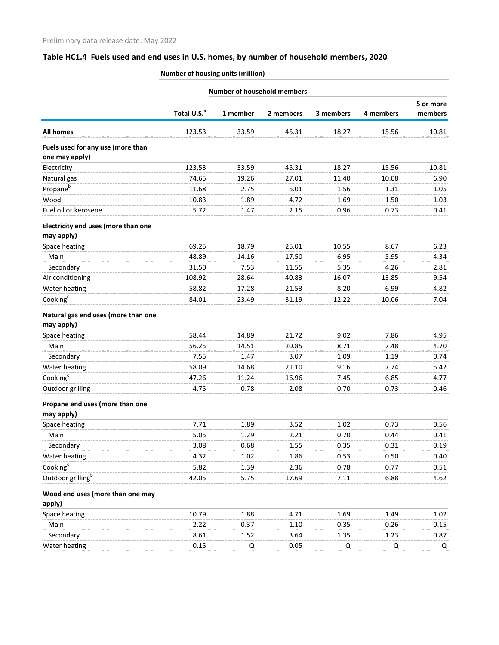# **Table HC1.4 Fuels used and end uses in U.S. homes, by number of household members, 2020**

| <b>Number of housing units (million)</b> |  |
|------------------------------------------|--|
|                                          |  |

|                                                     | <b>Number of household members</b> |          |           |           |           |                      |
|-----------------------------------------------------|------------------------------------|----------|-----------|-----------|-----------|----------------------|
|                                                     | Total U.S. <sup>a</sup>            | 1 member | 2 members | 3 members | 4 members | 5 or more<br>members |
| <b>All homes</b>                                    | 123.53                             | 33.59    | 45.31     | 18.27     | 15.56     | 10.81                |
| Fuels used for any use (more than<br>one may apply) |                                    |          |           |           |           |                      |
| Electricity                                         | 123.53                             | 33.59    | 45.31     | 18.27     | 15.56     | 10.81                |
| Natural gas                                         | 74.65                              | 19.26    | 27.01     | 11.40     | 10.08     | 6.90                 |
| Propane <sup>b</sup>                                | 11.68                              | 2.75     | 5.01      | 1.56      | 1.31      | 1.05                 |
| Wood                                                | 10.83                              | 1.89     | 4.72      | 1.69      | 1.50      | 1.03                 |
| Fuel oil or kerosene                                | 5.72                               | 1.47     | 2.15      | 0.96      | 0.73      | 0.41                 |
| Electricity end uses (more than one<br>may apply)   |                                    |          |           |           |           |                      |
| Space heating                                       | 69.25                              | 18.79    | 25.01     | 10.55     | 8.67      | 6.23                 |
| Main                                                | 48.89                              | 14.16    | 17.50     | 6.95      | 5.95      | 4.34                 |
| Secondary                                           | 31.50                              | 7.53     | 11.55     | 5.35      | 4.26      | 2.81                 |
| Air conditioning                                    | 108.92                             | 28.64    | 40.83     | 16.07     | 13.85     | 9.54                 |
| Water heating                                       | 58.82                              | 17.28    | 21.53     | 8.20      | 6.99      | 4.82                 |
| Cooking <sup>c</sup>                                | 84.01                              | 23.49    | 31.19     | 12.22     | 10.06     | 7.04                 |
| Natural gas end uses (more than one<br>may apply)   |                                    |          |           |           |           |                      |
| Space heating                                       | 58.44                              | 14.89    | 21.72     | 9.02      | 7.86      | 4.95                 |
| Main                                                | 56.25                              | 14.51    | 20.85     | 8.71      | 7.48      | 4.70                 |
| Secondary                                           | 7.55                               | 1.47     | 3.07      | 1.09      | 1.19      | 0.74                 |
| Water heating                                       | 58.09                              | 14.68    | 21.10     | 9.16      | 7.74      | 5.42                 |
| Cooking <sup>c</sup>                                | 47.26                              | 11.24    | 16.96     | 7.45      | 6.85      | 4.77                 |
| Outdoor grilling                                    | 4.75                               | 0.78     | 2.08      | 0.70      | 0.73      | 0.46                 |
| Propane end uses (more than one                     |                                    |          |           |           |           |                      |
| may apply)<br>Space heating                         | 7.71                               | 1.89     | 3.52      | 1.02      | 0.73      | 0.56                 |
| Main                                                | 5.05                               | 1.29     | 2.21      | 0.70      | 0.44      | 0.41                 |
| Secondary                                           | 3.08                               | 0.68     | 1.55      | 0.35      | 0.31      | 0.19                 |
| Water heating                                       | 4.32                               | 1.02     | 1.86      | 0.53      | 0.50      | 0.40                 |
| $\text{Cooking}^c$                                  | 5.82                               | 1.39     | 2.36      | 0.78      | 0.77      | 0.51                 |
| Outdoor grilling <sup>b</sup>                       | 42.05                              | 5.75     | 17.69     | 7.11      | 6.88      | 4.62                 |
| Wood end uses (more than one may<br>apply)          |                                    |          |           |           |           |                      |
| Space heating                                       | 10.79                              | 1.88     | 4.71      | 1.69      | 1.49      | 1.02                 |
| Main                                                | 2.22                               | 0.37     | 1.10      | 0.35      | 0.26      | 0.15                 |
| Secondary                                           | 8.61                               | 1.52     | 3.64      | 1.35      | 1.23      | 0.87                 |
| Water heating                                       | 0.15                               | Q        | 0.05      | Q         | Q         | Q                    |
|                                                     |                                    |          |           |           |           |                      |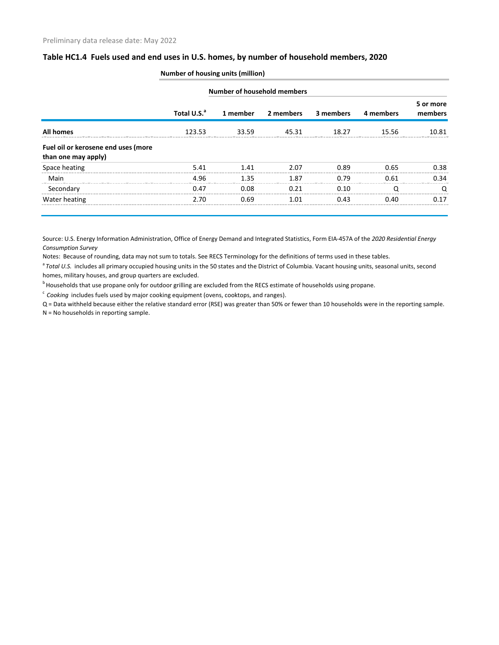### **Table HC1.4 Fuels used and end uses in U.S. homes, by number of household members, 2020**

| Number of household members                                |                         |          |           |           |           |                      |
|------------------------------------------------------------|-------------------------|----------|-----------|-----------|-----------|----------------------|
|                                                            | Total U.S. <sup>a</sup> | 1 member | 2 members | 3 members | 4 members | 5 or more<br>members |
| <b>All homes</b>                                           | 123.53                  | 33.59    | 45.31     | 18.27     | 15.56     | 10.81                |
| Fuel oil or kerosene end uses (more<br>than one may apply) |                         |          |           |           |           |                      |
| Space heating                                              | 5.41                    | 141      | 2.07      | በ ጸዓ      | 0.65      | 0.38                 |
| Main                                                       | 4.96                    | 135      | 1.87      | በ 79      | በ 61      | በ 34                 |
| Secondary                                                  | 0.47                    | 0.08     | O 21      | 0.10      |           |                      |
| Water heating                                              | 2.70                    | 0.69     | 1 01      | በ 43      | በ 4በ      | በ 17                 |

### **Number of housing units (million)**

Source: U.S. Energy Information Administration, Office of Energy Demand and Integrated Statistics, Form EIA-457A of the *2020 Residential Energy Consumption Survey*

Notes: Because of rounding, data may not sum to totals. See RECS Terminology for the definitions of terms used in these tables.

<sup>a</sup> Total U.S. includes all primary occupied housing units in the 50 states and the District of Columbia. Vacant housing units, seasonal units, second homes, military houses, and group quarters are excluded.

<sup>b</sup> Households that use propane only for outdoor grilling are excluded from the RECS estimate of households using propane.

<sup>c</sup> Cooking includes fuels used by major cooking equipment (ovens, cooktops, and ranges).

Q = Data withheld because either the relative standard error (RSE) was greater than 50% or fewer than 10 households were in the reporting sample. N = No households in reporting sample.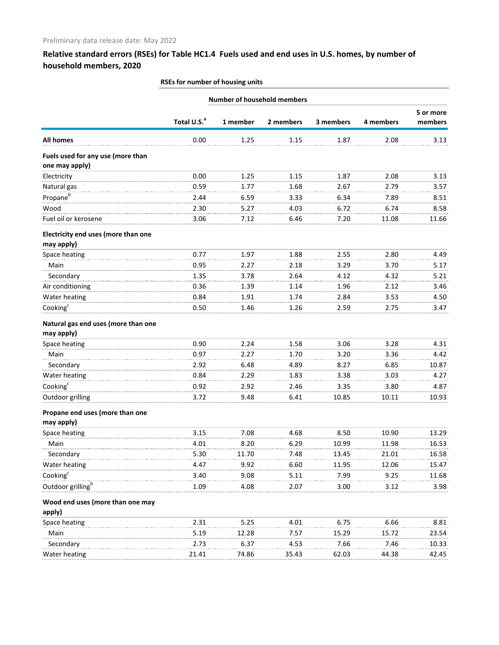## **Relative standard errors (RSEs) for Table HC1.4 Fuels used and end uses in U.S. homes, by number of household members, 2020**

**Number of household members**

### **RSEs for number of housing units**

|                                                     | Total U.S. <sup>a</sup> | 1 member | 2 members | 3 members | 4 members | 5 or more<br>members |
|-----------------------------------------------------|-------------------------|----------|-----------|-----------|-----------|----------------------|
| <b>All homes</b>                                    | 0.00                    | 1.25     | 1.15      | 1.87      | 2.08      | 3.13                 |
| Fuels used for any use (more than<br>one may apply) |                         |          |           |           |           |                      |
| Electricity                                         | 0.00                    | 1.25     | 1.15      | 1.87      | 2.08      | 3.13                 |
| Natural gas                                         | 0.59                    | 1.77     | 1.68      | 2.67      | 2.79      | 3.57                 |
| Propane <sup>b</sup>                                | 2.44                    | 6.59     | 3.33      | 6.34      | 7.89      | 8.51                 |
| Wood                                                | 2.30                    | 5.27     | 4.03      | 6.72      | 6.74      | 8.58                 |
| Fuel oil or kerosene                                | 3.06                    | 7.12     | 6.46      | 7.20      | 11.08     | 11.66                |
| Electricity end uses (more than one<br>may apply)   |                         |          |           |           |           |                      |
| Space heating                                       | 0.77                    | 1.97     | 1.88      | 2.55      | 2.80      | 4.49                 |
| Main                                                | 0.95                    | 2.27     | 2.18      | 3.29      | 3.70      | 5.17                 |
| Secondary                                           | 1.35                    | 3.78     | 2.64      | 4.12      | 4.32      | 5.21                 |
| Air conditioning                                    | 0.36                    | 1.39     | 1.14      | 1.96      | 2.12      | 3.46                 |
| Water heating                                       | 0.84                    | 1.91     | 1.74      | 2.84      | 3.53      | 4.50                 |
| Cooking <sup>c</sup>                                | 0.50                    | 1.46     | 1.26      | 2.59      | 2.75      | 3.47                 |
| Natural gas end uses (more than one<br>may apply)   |                         |          |           |           |           |                      |
| Space heating                                       | 0.90                    | 2.24     | 1.58      | 3.06      | 3.28      | 4.31                 |
| Main                                                | 0.97                    | 2.27     | 1.70      | 3.20      | 3.36      | 4.42                 |
| Secondary                                           | 2.92                    | 6.48     | 4.89      | 8.27      | 6.85      | 10.87                |
| Water heating                                       | 0.84                    | 2.29     | 1.83      | 3.38      | 3.03      | 4.27                 |
| Cooking $c$                                         | 0.92                    | 2.92     | 2.46      | 3.35      | 3.80      | 4.87                 |
| Outdoor grilling                                    | 3.72                    | 9.48     | 6.41      | 10.85     | 10.11     | 10.93                |
| Propane end uses (more than one<br>may apply)       |                         |          |           |           |           |                      |
| Space heating                                       | 3.15                    | 7.08     | 4.68      | 8.50      | 10.90     | 13.29                |
| Main                                                | 4.01                    | 8.20     | 6.29      | 10.99     | 11.98     | 16.53                |
| Secondary                                           | 5.30                    | 11.70    | 7.48      | 13.45     | 21.01     | 16.58                |
| Water heating                                       | 4.47                    | 9.92     | 6.60      | 11.95     | 12.06     | 15.47                |
| Cooking <sup>c</sup>                                | 3.40                    | 9.08     | 5.11      | 7.99      | 9.25      | 11.68                |
| Outdoor grilling <sup>b</sup>                       | 1.09                    | 4.08     | 2.07      | 3.00      | 3.12      | 3.98                 |
| Wood end uses (more than one may<br>apply)          |                         |          |           |           |           |                      |
| Space heating                                       | 2.31                    | 5.25     | 4.01      | 6.75      | 6.66      | 8.81                 |
| Main                                                | 5.19                    | 12.28    | 7.57      | 15.29     | 15.72     | 23.54                |
| Secondary                                           | 2.73                    | 6.37     | 4.53      | 7.66      | 7.46      | 10.33                |
| Water heating                                       | 21.41                   | 74.86    | 35.43     | 62.03     | 44.38     | 42.45                |